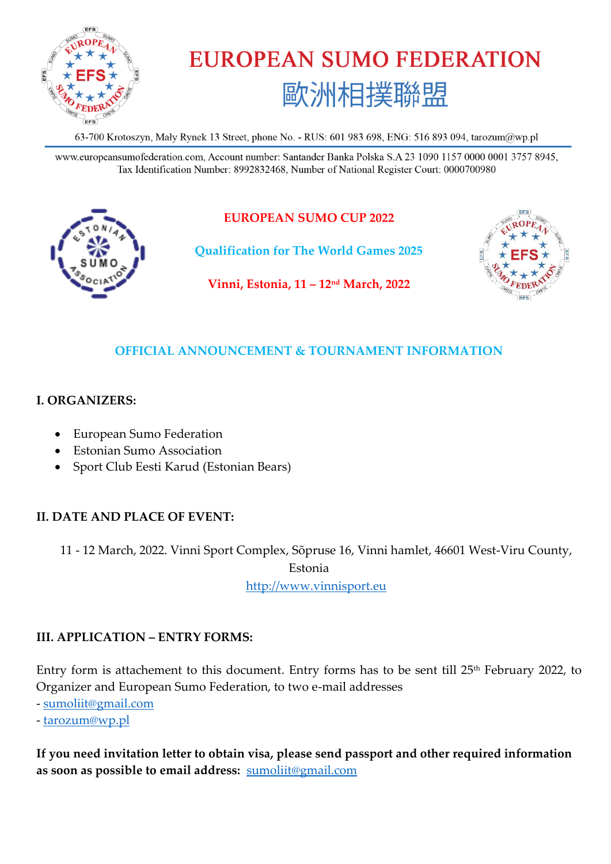

# **EUROPEAN SUMO FEDERATION** 歐洲相撲聯盟

63-700 Krotoszyn, Mały Rynek 13 Street, phone No. - RUS: 601 983 698, ENG: 516 893 094, tarozum@wp.pl

www.europeansumofederation.com, Account number: Santander Banka Polska S.A 23 1090 1157 0000 0001 3757 8945, Tax Identification Number: 8992832468, Number of National Register Court: 0000700980



# **EUROPEAN SUMO CUP 2022**

**Qualification for The World Games 2025** 



**Vinni, Estonia, 11 – 12nd March, 2022**

## **OFFICIAL ANNOUNCEMENT & TOURNAMENT INFORMATION**

## **I. ORGANIZERS:**

- European Sumo Federation
- Estonian Sumo Association
- Sport Club Eesti Karud (Estonian Bears)

# **II. DATE AND PLACE OF EVENT:**

11 - 12 March, 2022. Vinni Sport Complex, Sõpruse 16, Vinni hamlet, 46601 West-Viru County,

Estonia

[http://www.vinnisport.eu](http://www.vinnisport.eu/)

## **III. APPLICATION – ENTRY FORMS:**

Entry form is attachement to this document. Entry forms has to be sent till 25<sup>th</sup> February 2022, to Organizer and European Sumo Federation, to two e-mail addresses

- [sumoliit@gmail.com](mailto:sumoliit@gmail.com)

- [tarozum@wp.pl](mailto:tarozum@wp.pl)

**If you need invitation letter to obtain visa, please send passport and other required information as soon as possible to email address:** [sumoliit@gmail.com](mailto:sumoliit@gmail.com)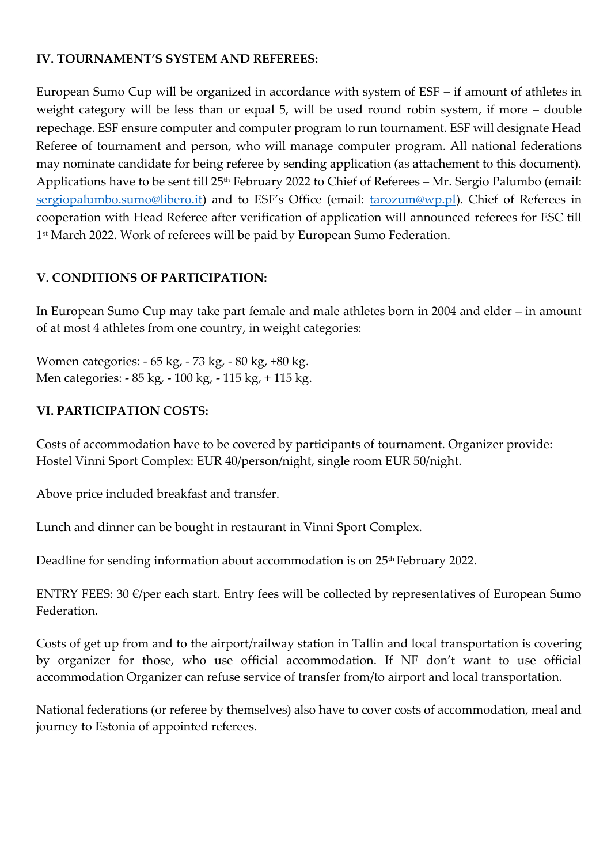#### **IV. TOURNAMENT'S SYSTEM AND REFEREES:**

European Sumo Cup will be organized in accordance with system of ESF – if amount of athletes in weight category will be less than or equal 5, will be used round robin system, if more – double repechage. ESF ensure computer and computer program to run tournament. ESF will designate Head Referee of tournament and person, who will manage computer program. All national federations may nominate candidate for being referee by sending application (as attachement to this document). Applications have to be sent till 25<sup>th</sup> February 2022 to Chief of Referees – Mr. Sergio Palumbo (email: [sergiopalumbo.sumo@libero.it](mailto:sergiopalumbo.sumo@libero.it)) and to ESF's Office (email: *tarozum@wp.pl*). Chief of Referees in cooperation with Head Referee after verification of application will announced referees for ESC till 1 st March 2022. Work of referees will be paid by European Sumo Federation.

## **V. CONDITIONS OF PARTICIPATION:**

In European Sumo Cup may take part female and male athletes born in 2004 and elder – in amount of at most 4 athletes from one country, in weight categories:

Women categories: - 65 kg, - 73 kg, - 80 kg, +80 kg. Men categories: - 85 kg, - 100 kg, - 115 kg, + 115 kg.

## **VI. PARTICIPATION COSTS:**

Costs of accommodation have to be covered by participants of tournament. Organizer provide: Hostel Vinni Sport Complex: EUR 40/person/night, single room EUR 50/night.

Above price included breakfast and transfer.

Lunch and dinner can be bought in restaurant in Vinni Sport Complex.

Deadline for sending information about accommodation is on 25<sup>th</sup> February 2022.

ENTRY FEES: 30 €/per each start. Entry fees will be collected by representatives of European Sumo Federation.

Costs of get up from and to the airport/railway station in Tallin and local transportation is covering by organizer for those, who use official accommodation. If NF don't want to use official accommodation Organizer can refuse service of transfer from/to airport and local transportation.

National federations (or referee by themselves) also have to cover costs of accommodation, meal and journey to Estonia of appointed referees.